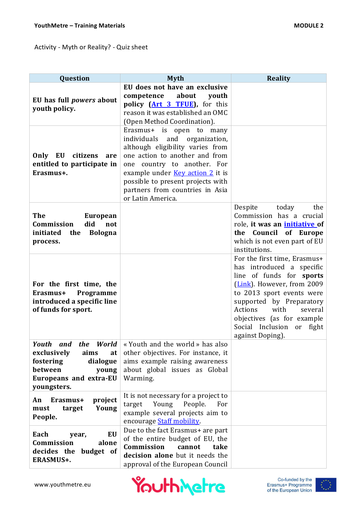## Activity - Myth or Reality? - Quiz sheet

| Question                                                                                                                                     | <b>Myth</b>                                                                                                                                                                                                                                                                                                                                                                                                                                                                             | <b>Reality</b>                                                                                                                                                                                                                                                                                  |
|----------------------------------------------------------------------------------------------------------------------------------------------|-----------------------------------------------------------------------------------------------------------------------------------------------------------------------------------------------------------------------------------------------------------------------------------------------------------------------------------------------------------------------------------------------------------------------------------------------------------------------------------------|-------------------------------------------------------------------------------------------------------------------------------------------------------------------------------------------------------------------------------------------------------------------------------------------------|
| EU has full <i>powers</i> about<br>youth policy.<br>Only EU<br>citizens<br>are<br>entitled to participate in<br>Erasmus+.                    | EU does not have an exclusive<br>about<br>competence<br>youth<br>policy (Art 3 TFUE), for this<br>reason it was established an OMC<br>(Open Method Coordination).<br>Erasmus+ is<br>open to<br>many<br>individuals<br>and<br>organization,<br>although eligibility varies from<br>one action to another and from<br>one country to another. For<br>example under <u>Key action 2</u> it is<br>possible to present projects with<br>partners from countries in Asia<br>or Latin America. |                                                                                                                                                                                                                                                                                                 |
| <b>The</b><br><b>European</b><br>Commission<br>did<br>not<br>initiated<br>the<br><b>Bologna</b><br>process.                                  |                                                                                                                                                                                                                                                                                                                                                                                                                                                                                         | Despite<br>today<br>the<br>Commission has a crucial<br>role, it was an <i>initiative</i> of<br>the Council of Europe<br>which is not even part of EU<br>institutions.                                                                                                                           |
| For the first time, the<br>Programme<br>Erasmus+<br>introduced a specific line<br>of funds for sport.                                        |                                                                                                                                                                                                                                                                                                                                                                                                                                                                                         | For the first time, Erasmus+<br>has introduced a specific<br>line of funds for sports<br>(Link). However, from 2009<br>to 2013 sport events were<br>supported by Preparatory<br>Actions<br>with<br>several<br>objectives (as for example<br>Social Inclusion<br>fight<br>or<br>against Doping). |
| World<br>Youth and<br>the<br>exclusively<br>aims<br>at<br>fostering<br>dialogue<br>between<br>young<br>Europeans and extra-EU<br>youngsters. | « Youth and the world » has also<br>other objectives. For instance, it<br>aims example raising awareness<br>about global issues as Global<br>Warming.                                                                                                                                                                                                                                                                                                                                   |                                                                                                                                                                                                                                                                                                 |
| Erasmus+<br>project<br>An<br>Young<br>target<br>must<br>People.                                                                              | It is not necessary for a project to<br>Young<br>People.<br>target<br>For<br>example several projects aim to<br>encourage Staff mobility.                                                                                                                                                                                                                                                                                                                                               |                                                                                                                                                                                                                                                                                                 |
| EU<br>Each<br>year,<br>Commission<br>alone<br>decides the budget of<br>ERASMUS+.                                                             | Due to the fact Erasmus+ are part<br>of the entire budget of EU, the<br>Commission<br>cannot<br>take<br>decision alone but it needs the<br>approval of the European Council                                                                                                                                                                                                                                                                                                             |                                                                                                                                                                                                                                                                                                 |